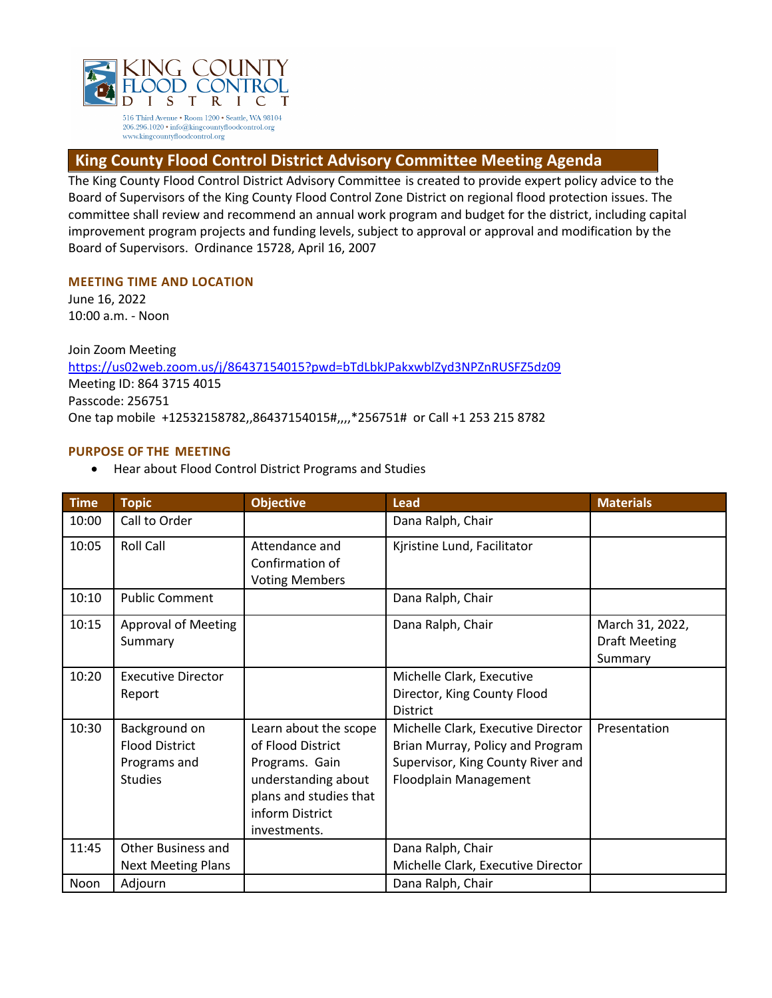

# **King County Flood Control District Advisory Committee Meeting Agenda**

The King County Flood Control District Advisory Committee is created to provide expert policy advice to the Board of Supervisors of the King County Flood Control Zone District on regional flood protection issues. The committee shall review and recommend an annual work program and budget for the district, including capital improvement program projects and funding levels, subject to approval or approval and modification by the Board of Supervisors. Ordinance 15728, April 16, 2007

## **MEETING TIME AND LOCATION**

June 16, 2022 10:00 a.m. - Noon

Join Zoom Meeting https://us02web.zoom.us/j/86437154015?pwd=bTdLbkJPakxwblZyd3NPZnRUSFZ5dz09 Meeting ID: 864 3715 4015 Passcode: 256751 One tap mobile +12532158782,,86437154015#,,,,\*256751# or Call +1 253 215 8782

## **PURPOSE OF THE MEETING**

• Hear about Flood Control District Programs and Studies

| <b>Time</b> | <b>Topic</b>                                                             | <b>Objective</b>                                                                                                                                 | <b>Lead</b>                                                                                                                          | <b>Materials</b>                                   |
|-------------|--------------------------------------------------------------------------|--------------------------------------------------------------------------------------------------------------------------------------------------|--------------------------------------------------------------------------------------------------------------------------------------|----------------------------------------------------|
| 10:00       | Call to Order                                                            |                                                                                                                                                  | Dana Ralph, Chair                                                                                                                    |                                                    |
| 10:05       | <b>Roll Call</b>                                                         | Attendance and<br>Confirmation of<br><b>Voting Members</b>                                                                                       | Kjristine Lund, Facilitator                                                                                                          |                                                    |
| 10:10       | <b>Public Comment</b>                                                    |                                                                                                                                                  | Dana Ralph, Chair                                                                                                                    |                                                    |
| 10:15       | <b>Approval of Meeting</b><br>Summary                                    |                                                                                                                                                  | Dana Ralph, Chair                                                                                                                    | March 31, 2022,<br><b>Draft Meeting</b><br>Summary |
| 10:20       | <b>Executive Director</b><br>Report                                      |                                                                                                                                                  | Michelle Clark, Executive<br>Director, King County Flood<br><b>District</b>                                                          |                                                    |
| 10:30       | Background on<br><b>Flood District</b><br>Programs and<br><b>Studies</b> | Learn about the scope<br>of Flood District<br>Programs. Gain<br>understanding about<br>plans and studies that<br>inform District<br>investments. | Michelle Clark, Executive Director<br>Brian Murray, Policy and Program<br>Supervisor, King County River and<br>Floodplain Management | Presentation                                       |
| 11:45       | Other Business and<br><b>Next Meeting Plans</b>                          |                                                                                                                                                  | Dana Ralph, Chair<br>Michelle Clark, Executive Director                                                                              |                                                    |
| Noon        | Adjourn                                                                  |                                                                                                                                                  | Dana Ralph, Chair                                                                                                                    |                                                    |